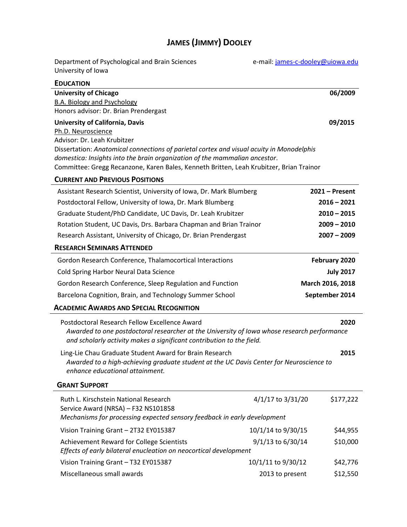# **JAMES (JIMMY) DOOLEY**

| Department of Psychological and Brain Sciences<br>University of Iowa                                                                                                                                                                                                                                                                                                 | e-mail: james-c-dooley@uiowa.edu                                                     |                          |  |  |  |
|----------------------------------------------------------------------------------------------------------------------------------------------------------------------------------------------------------------------------------------------------------------------------------------------------------------------------------------------------------------------|--------------------------------------------------------------------------------------|--------------------------|--|--|--|
| <b>EDUCATION</b>                                                                                                                                                                                                                                                                                                                                                     |                                                                                      |                          |  |  |  |
| <b>University of Chicago</b><br>B.A. Biology and Psychology<br>Honors advisor: Dr. Brian Prendergast                                                                                                                                                                                                                                                                 |                                                                                      | 06/2009                  |  |  |  |
| 09/2015<br>University of California, Davis<br>Ph.D. Neuroscience<br>Advisor: Dr. Leah Krubitzer<br>Dissertation: Anatomical connections of parietal cortex and visual acuity in Monodelphis<br>domestica: Insights into the brain organization of the mammalian ancestor.<br>Committee: Gregg Recanzone, Karen Bales, Kenneth Britten, Leah Krubitzer, Brian Trainor |                                                                                      |                          |  |  |  |
| <b>CURRENT AND PREVIOUS POSITIONS</b>                                                                                                                                                                                                                                                                                                                                |                                                                                      |                          |  |  |  |
| Assistant Research Scientist, University of Iowa, Dr. Mark Blumberg<br>Postdoctoral Fellow, University of Iowa, Dr. Mark Blumberg<br>Graduate Student/PhD Candidate, UC Davis, Dr. Leah Krubitzer<br>Rotation Student, UC Davis, Drs. Barbara Chapman and Brian Trainor<br>Research Assistant, University of Chicago, Dr. Brian Prendergast                          | $2021 -$ Present<br>$2016 - 2021$<br>$2010 - 2015$<br>$2009 - 2010$<br>$2007 - 2009$ |                          |  |  |  |
| <b>RESEARCH SEMINARS ATTENDED</b>                                                                                                                                                                                                                                                                                                                                    |                                                                                      |                          |  |  |  |
| Gordon Research Conference, Thalamocortical Interactions<br>Cold Spring Harbor Neural Data Science<br>Gordon Research Conference, Sleep Regulation and Function<br>Barcelona Cognition, Brain, and Technology Summer School<br><b>ACADEMIC AWARDS AND SPECIAL RECOGNITION</b><br>Postdoctoral Research Fellow Excellence Award                                       | February 2020<br>March 2016, 2018<br>September 2014                                  | <b>July 2017</b><br>2020 |  |  |  |
| Awarded to one postdoctoral researcher at the University of Iowa whose research performance<br>and scholarly activity makes a significant contribution to the field.                                                                                                                                                                                                 |                                                                                      |                          |  |  |  |
| Ling-Lie Chau Graduate Student Award for Brain Research<br>2015<br>Awarded to a high-achieving graduate student at the UC Davis Center for Neuroscience to<br>enhance educational attainment.                                                                                                                                                                        |                                                                                      |                          |  |  |  |
| <b>GRANT SUPPORT</b>                                                                                                                                                                                                                                                                                                                                                 |                                                                                      |                          |  |  |  |
| Ruth L. Kirschstein National Research<br>Service Award (NRSA) - F32 NS101858<br>Mechanisms for processing expected sensory feedback in early development                                                                                                                                                                                                             | 4/1/17 to 3/31/20                                                                    | \$177,222                |  |  |  |
| Vision Training Grant - 2T32 EY015387                                                                                                                                                                                                                                                                                                                                | 10/1/14 to 9/30/15                                                                   | \$44,955                 |  |  |  |
| Achievement Reward for College Scientists<br>Effects of early bilateral enucleation on neocortical development                                                                                                                                                                                                                                                       | 9/1/13 to 6/30/14                                                                    | \$10,000                 |  |  |  |
| Vision Training Grant - T32 EY015387                                                                                                                                                                                                                                                                                                                                 | 10/1/11 to 9/30/12                                                                   | \$42,776                 |  |  |  |
| Miscellaneous small awards                                                                                                                                                                                                                                                                                                                                           | 2013 to present                                                                      | \$12,550                 |  |  |  |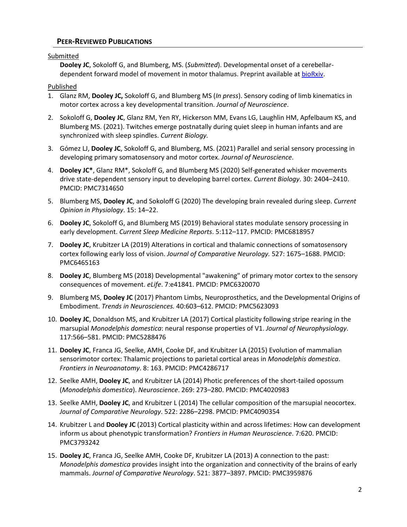# **PEER-REVIEWED PUBLICATIONS**

# Submitted

**Dooley JC**, Sokoloff G, and Blumberg, MS. (*Submitted*). Developmental onset of a cerebellardependent forward model of movement in motor thalamus. Preprint available at [bioRxiv.](https://www.biorxiv.org/content/10.1101/2021.06.25.449956v1)

Published

- 1. Glanz RM, **Dooley JC,** Sokoloff G, and Blumberg MS (*In press*). Sensory coding of limb kinematics in motor cortex across a key developmental transition. *Journal of Neuroscience*.
- 2. Sokoloff G, **Dooley JC**, Glanz RM, Yen RY, Hickerson MM, Evans LG, Laughlin HM, Apfelbaum KS, and Blumberg MS. (2021). Twitches emerge postnatally during quiet sleep in human infants and are synchronized with sleep spindles. *Current Biology.*
- 3. Gómez LJ, **Dooley JC**, Sokoloff G, and Blumberg, MS. (2021) Parallel and serial sensory processing in developing primary somatosensory and motor cortex. *Journal of Neuroscience*.
- 4. **Dooley JC\***, Glanz RM\*, Sokoloff G, and Blumberg MS (2020) Self-generated whisker movements drive state-dependent sensory input to developing barrel cortex. *Current Biology*. 30: 2404–2410. PMCID: PMC7314650
- 5. Blumberg MS, **Dooley JC**, and Sokoloff G (2020) The developing brain revealed during sleep. *Current Opinion in Physiology*. 15: 14–22.
- 6. **Dooley JC**, Sokoloff G, and Blumberg MS (2019) Behavioral states modulate sensory processing in early development. *Current Sleep Medicine Reports*. 5:112–117. PMCID: PMC6818957
- 7. **Dooley JC**, Krubitzer LA (2019) Alterations in cortical and thalamic connections of somatosensory cortex following early loss of vision. *Journal of Comparative Neurology.* 527: 1675–1688. PMCID: PMC6465163
- 8. **Dooley JC**, Blumberg MS (2018) Developmental "awakening" of primary motor cortex to the sensory consequences of movement. *eLife*. 7:e41841. PMCID: PMC6320070
- 9. Blumberg MS, **Dooley JC** (2017) Phantom Limbs, Neuroprosthetics, and the Developmental Origins of Embodiment. *Trends in Neurosciences.* 40:603–612. PMCID: PMC5623093
- 10. **Dooley JC**, Donaldson MS, and Krubitzer LA (2017) Cortical plasticity following stripe rearing in the marsupial *Monodelphis domestica*: neural response properties of V1. *Journal of Neurophysiology*. 117:566–581. PMCID: PMC5288476
- 11. **Dooley JC**, Franca JG, Seelke, AMH, Cooke DF, and Krubitzer LA (2015) Evolution of mammalian sensorimotor cortex: Thalamic projections to parietal cortical areas in *Monodelphis domestica*. *Frontiers in Neuroanatomy*. 8: 163. PMCID: PMC4286717
- 12. Seelke AMH, **Dooley JC**, and Krubitzer LA (2014) Photic preferences of the short-tailed opossum (*Monodelphis domestica*). *Neuroscience*. 269: 273–280. PMCID: PMC4020983
- 13. Seelke AMH, **Dooley JC**, and Krubitzer L (2014) The cellular composition of the marsupial neocortex. *Journal of Comparative Neurology*. 522: 2286–2298. PMCID: PMC4090354
- 14. Krubitzer L and **Dooley JC** (2013) Cortical plasticity within and across lifetimes: How can development inform us about phenotypic transformation? *Frontiers in Human Neuroscience*. 7:620. PMCID: PMC3793242
- 15. **Dooley JC**, Franca JG, Seelke AMH, Cooke DF, Krubitzer LA (2013) A connection to the past: *Monodelphis domestica* provides insight into the organization and connectivity of the brains of early mammals. *Journal of Comparative Neurology*. 521: 3877–3897. PMCID: PMC3959876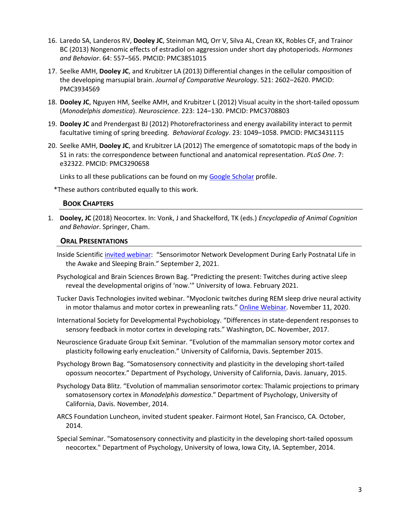- 16. Laredo SA, Landeros RV, **Dooley JC**, Steinman MQ, Orr V, Silva AL, Crean KK, Robles CF, and Trainor BC (2013) Nongenomic effects of estradiol on aggression under short day photoperiods. *Hormones and Behavior*. 64: 557–565. PMCID: PMC3851015
- 17. Seelke AMH, **Dooley JC**, and Krubitzer LA (2013) Differential changes in the cellular composition of the developing marsupial brain. *Journal of Comparative Neurology*. 521: 2602–2620. PMCID: PMC3934569
- 18. **Dooley JC**, Nguyen HM, Seelke AMH, and Krubitzer L (2012) Visual acuity in the short-tailed opossum (*Monodelphis domestica*). *Neuroscience*. 223: 124–130. PMCID: PMC3708803
- 19. **Dooley JC** and Prendergast BJ (2012) Photorefractoriness and energy availability interact to permit facultative timing of spring breeding. *Behavioral Ecology*. 23: 1049–1058. PMCID: PMC3431115
- 20. Seelke AMH, **Dooley JC**, and Krubitzer LA (2012) The emergence of somatotopic maps of the body in S1 in rats: the correspondence between functional and anatomical representation. *PLoS One*. 7: e32322. PMCID: PMC3290658

Links to all these publications can be found on my [Google Scholar](https://scholar.google.com/citations?user=gJedFJIAAAAJ) profile.

\*These authors contributed equally to this work.

# **BOOK CHAPTERS**

1. **Dooley, JC** (2018) Neocortex. In: Vonk, J and Shackelford, TK (eds.) *Encyclopedia of Animal Cognition and Behavior*. Springer, Cham.

### **ORAL PRESENTATIONS**

- Inside Scientific [invited webinar:](https://insidescientific.com/webinar/sensorimotor-network-development-during-early-postnatal-life-in-the-awake-and-sleeping-brain/) "Sensorimotor Network Development During Early Postnatal Life in the Awake and Sleeping Brain." September 2, 2021.
- Psychological and Brain Sciences Brown Bag. "Predicting the present: Twitches during active sleep reveal the developmental origins of 'now.'" University of Iowa. February 2021.
- Tucker Davis Technologies invited webinar. "Myoclonic twitches during REM sleep drive neural activity in motor thalamus and motor cortex in preweanling rats." [Online Webinar.](https://www.youtube.com/watch?v=swIsC5iwmak) November 11, 2020.
- International Society for Developmental Psychobiology. "Differences in state-dependent responses to sensory feedback in motor cortex in developing rats." Washington, DC. November, 2017.
- Neuroscience Graduate Group Exit Seminar. "Evolution of the mammalian sensory motor cortex and plasticity following early enucleation." University of California, Davis. September 2015.
- Psychology Brown Bag. "Somatosensory connectivity and plasticity in the developing short-tailed opossum neocortex." Department of Psychology, University of California, Davis. January, 2015.
- Psychology Data Blitz. "Evolution of mammalian sensorimotor cortex: Thalamic projections to primary somatosensory cortex in *Monodelphis domestica*." Department of Psychology, University of California, Davis. November, 2014.
- ARCS Foundation Luncheon, invited student speaker. Fairmont Hotel, San Francisco, CA. October, 2014.
- Special Seminar. "Somatosensory connectivity and plasticity in the developing short-tailed opossum neocortex." Department of Psychology, University of Iowa, Iowa City, IA. September, 2014.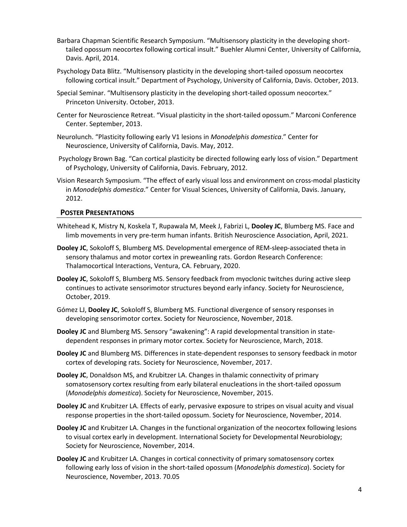- Barbara Chapman Scientific Research Symposium. "Multisensory plasticity in the developing shorttailed opossum neocortex following cortical insult." Buehler Alumni Center, University of California, Davis. April, 2014.
- Psychology Data Blitz. "Multisensory plasticity in the developing short-tailed opossum neocortex following cortical insult." Department of Psychology, University of California, Davis. October, 2013.
- Special Seminar. "Multisensory plasticity in the developing short-tailed opossum neocortex." Princeton University. October, 2013.
- Center for Neuroscience Retreat. "Visual plasticity in the short-tailed opossum." Marconi Conference Center. September, 2013.
- Neurolunch. "Plasticity following early V1 lesions in *Monodelphis domestica*." Center for Neuroscience, University of California, Davis. May, 2012.
- Psychology Brown Bag. "Can cortical plasticity be directed following early loss of vision." Department of Psychology, University of California, Davis. February, 2012.
- Vision Research Symposium. "The effect of early visual loss and environment on cross-modal plasticity in *Monodelphis domestica*." Center for Visual Sciences, University of California, Davis. January, 2012.

#### **POSTER PRESENTATIONS**

- Whitehead K, Mistry N, Koskela T, Rupawala M, Meek J, Fabrizi L, **Dooley JC**, Blumberg MS. Face and limb movements in very pre-term human infants. British Neuroscience Association, April, 2021.
- **Dooley JC**, Sokoloff S, Blumberg MS. Developmental emergence of REM-sleep-associated theta in sensory thalamus and motor cortex in preweanling rats. Gordon Research Conference: Thalamocortical Interactions, Ventura, CA. February, 2020.
- **Dooley JC**, Sokoloff S, Blumberg MS. Sensory feedback from myoclonic twitches during active sleep continues to activate sensorimotor structures beyond early infancy. Society for Neuroscience, October, 2019.
- Gómez LJ, **Dooley JC**, Sokoloff S, Blumberg MS. Functional divergence of sensory responses in developing sensorimotor cortex. Society for Neuroscience, November, 2018.
- **Dooley JC** and Blumberg MS. Sensory "awakening": A rapid developmental transition in statedependent responses in primary motor cortex. Society for Neuroscience, March, 2018.
- **Dooley JC** and Blumberg MS. Differences in state-dependent responses to sensory feedback in motor cortex of developing rats. Society for Neuroscience, November, 2017.
- **Dooley JC**, Donaldson MS, and Krubitzer LA. Changes in thalamic connectivity of primary somatosensory cortex resulting from early bilateral enucleations in the short-tailed opossum (*Monodelphis domestica*). Society for Neuroscience, November, 2015.
- **Dooley JC** and Krubitzer LA. Effects of early, pervasive exposure to stripes on visual acuity and visual response properties in the short-tailed opossum. Society for Neuroscience, November, 2014.
- **Dooley JC** and Krubitzer LA. Changes in the functional organization of the neocortex following lesions to visual cortex early in development. International Society for Developmental Neurobiology; Society for Neuroscience, November, 2014.
- **Dooley JC** and Krubitzer LA. Changes in cortical connectivity of primary somatosensory cortex following early loss of vision in the short-tailed opossum (*Monodelphis domestica*). Society for Neuroscience, November, 2013. 70.05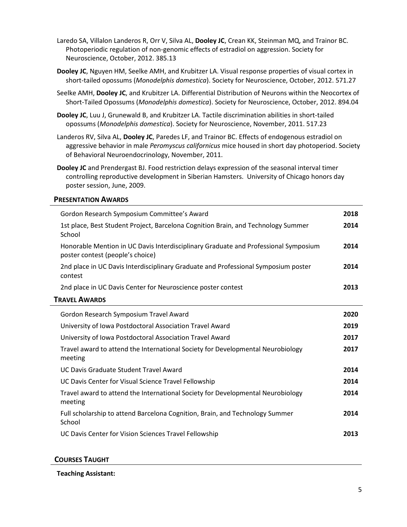Laredo SA, Villalon Landeros R, Orr V, Silva AL, **Dooley JC**, Crean KK, Steinman MQ, and Trainor BC. Photoperiodic regulation of non-genomic effects of estradiol on aggression. Society for Neuroscience, October, 2012. 385.13

- **Dooley JC**, Nguyen HM, Seelke AMH, and Krubitzer LA. Visual response properties of visual cortex in short-tailed opossums (*Monodelphis domestica*). Society for Neuroscience, October, 2012. 571.27
- Seelke AMH, **Dooley JC**, and Krubitzer LA. Differential Distribution of Neurons within the Neocortex of Short-Tailed Opossums (*Monodelphis domestica*). Society for Neuroscience, October, 2012. 894.04
- **Dooley JC**, Luu J, Grunewald B, and Krubitzer LA. Tactile discrimination abilities in short-tailed opossums (*Monodelphis domestica*). Society for Neuroscience, November, 2011. 517.23

Landeros RV, Silva AL, **Dooley JC**, Paredes LF, and Trainor BC. Effects of endogenous estradiol on aggressive behavior in male *Peromyscus californicus* mice housed in short day photoperiod. Society of Behavioral Neuroendocrinology, November, 2011.

**Dooley JC** and Prendergast BJ. Food restriction delays expression of the seasonal interval timer controlling reproductive development in Siberian Hamsters. University of Chicago honors day poster session, June, 2009.

# **PRESENTATION AWARDS**

| Gordon Research Symposium Committee's Award                                                                             | 2018 |
|-------------------------------------------------------------------------------------------------------------------------|------|
| 1st place, Best Student Project, Barcelona Cognition Brain, and Technology Summer<br>School                             | 2014 |
| Honorable Mention in UC Davis Interdisciplinary Graduate and Professional Symposium<br>poster contest (people's choice) | 2014 |
| 2nd place in UC Davis Interdisciplinary Graduate and Professional Symposium poster<br>contest                           | 2014 |
| 2nd place in UC Davis Center for Neuroscience poster contest                                                            | 2013 |
| <b>TRAVEL AWARDS</b>                                                                                                    |      |
| Gordon Research Symposium Travel Award                                                                                  | 2020 |
| University of Iowa Postdoctoral Association Travel Award                                                                | 2019 |
| University of Iowa Postdoctoral Association Travel Award                                                                | 2017 |
| Travel award to attend the International Society for Developmental Neurobiology<br>meeting                              | 2017 |
| UC Davis Graduate Student Travel Award                                                                                  | 2014 |
| UC Davis Center for Visual Science Travel Fellowship                                                                    | 2014 |
| Travel award to attend the International Society for Developmental Neurobiology<br>meeting                              | 2014 |
| Full scholarship to attend Barcelona Cognition, Brain, and Technology Summer<br>School                                  | 2014 |
| UC Davis Center for Vision Sciences Travel Fellowship                                                                   | 2013 |

#### **COURSES TAUGHT**

**Teaching Assistant:**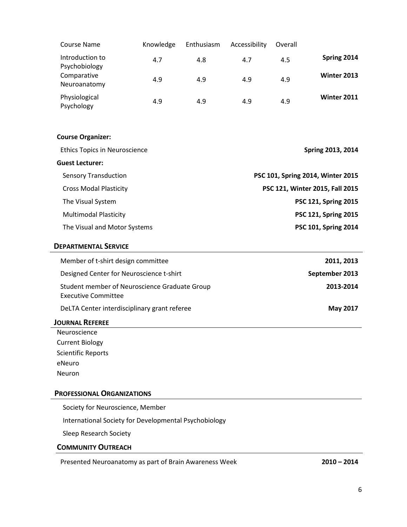| <b>Course Name</b>                                                          | Knowledge  | Enthusiasm | Accessibility                   | Overall |                          |  |  |
|-----------------------------------------------------------------------------|------------|------------|---------------------------------|---------|--------------------------|--|--|
| Introduction to                                                             | 4.7        | 4.8        | 4.7                             | 4.5     | Spring 2014              |  |  |
| Psychobiology<br>Comparative<br>Neuroanatomy                                | 4.9        | 4.9        | 4.9                             | 4.9     | Winter 2013              |  |  |
| Physiological<br>Psychology                                                 | 4.9        | 4.9        | 4.9                             | 4.9     | <b>Winter 2011</b>       |  |  |
| <b>Course Organizer:</b>                                                    |            |            |                                 |         |                          |  |  |
| <b>Ethics Topics in Neuroscience</b>                                        |            |            |                                 |         | <b>Spring 2013, 2014</b> |  |  |
| <b>Guest Lecturer:</b>                                                      |            |            |                                 |         |                          |  |  |
| PSC 101, Spring 2014, Winter 2015<br><b>Sensory Transduction</b>            |            |            |                                 |         |                          |  |  |
| <b>Cross Modal Plasticity</b>                                               |            |            | PSC 121, Winter 2015, Fall 2015 |         |                          |  |  |
| The Visual System                                                           |            |            | PSC 121, Spring 2015            |         |                          |  |  |
| <b>Multimodal Plasticity</b>                                                |            |            | PSC 121, Spring 2015            |         |                          |  |  |
| The Visual and Motor Systems                                                |            |            | PSC 101, Spring 2014            |         |                          |  |  |
|                                                                             |            |            |                                 |         |                          |  |  |
| <b>DEPARTMENTAL SERVICE</b>                                                 |            |            |                                 |         |                          |  |  |
| Member of t-shirt design committee                                          | 2011, 2013 |            |                                 |         |                          |  |  |
| Designed Center for Neuroscience t-shirt                                    |            |            | September 2013                  |         |                          |  |  |
| Student member of Neuroscience Graduate Group<br><b>Executive Committee</b> |            |            |                                 |         | 2013-2014                |  |  |
| DeLTA Center interdisciplinary grant referee                                |            |            |                                 |         | <b>May 2017</b>          |  |  |
| <b>JOURNAL REFEREE</b>                                                      |            |            |                                 |         |                          |  |  |
| Neuroscience                                                                |            |            |                                 |         |                          |  |  |
| <b>Current Biology</b>                                                      |            |            |                                 |         |                          |  |  |
| <b>Scientific Reports</b>                                                   |            |            |                                 |         |                          |  |  |
| eNeuro                                                                      |            |            |                                 |         |                          |  |  |
| Neuron                                                                      |            |            |                                 |         |                          |  |  |

# **PROFESSIONAL ORGANIZATIONS**

Society for Neuroscience, Member

International Society for Developmental Psychobiology

Sleep Research Society

# **COMMUNITY OUTREACH**

Presented Neuroanatomy as part of Brain Awareness Week **2010 – 2014**